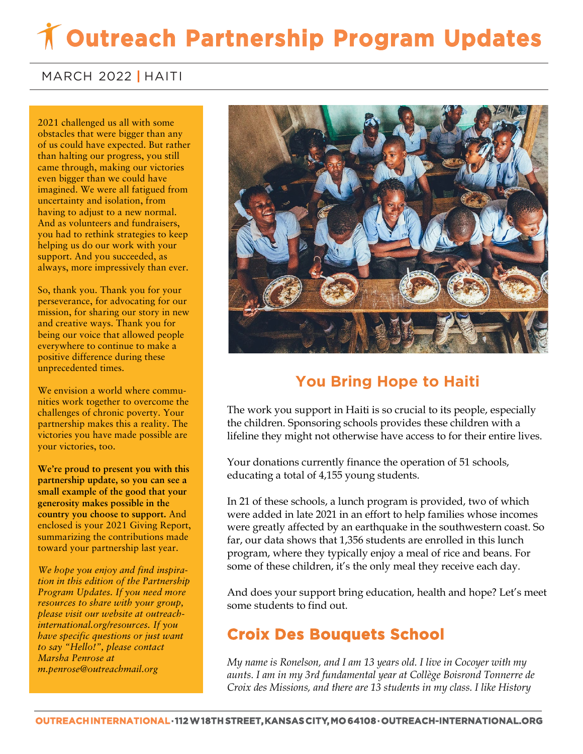# **Outreach Partnership Program Updates**

#### MARCH 2022 **|** HAITI

 of us could have expected. But rather **came through, making our victories** 2021 challenged us all with some obstacles that were bigger than any than halting our progress, you still even bigger than we could have imagined. We were all fatigued from uncertainty and isolation, from having to adjust to a new normal. And as volunteers and fundraisers, you had to rethink strategies to keep helping us do our work with your support. And you succeeded, as always, more impressively than ever.

So, thank you. Thank you for your perseverance, for advocating for our mission, for sharing our story in new and creative ways. Thank you for being our voice that allowed people everywhere to continue to make a positive difference during these unprecedented times.

We envision a world where communities work together to overcome the challenges of chronic poverty. Your partnership makes this a reality. The victories you have made possible are your victories, too.

**We're proud to present you with this partnership update, so you can see a small example of the good that your generosity makes possible in the country you choose to support.** And enclosed is your 2021 Giving Report, summarizing the contributions made toward your partnership last year.

*We hope you enjoy and find inspiration in this edition of the Partnership Program Updates. If you need more resources to share with your group, please visit our website at outreachinternational.org/resources. If you have specific questions or just want to say "Hello!", please contact Marsha Penrose at m.penrose@outreachmail.org*



### **You Bring Hope to Haiti**

The work you support in Haiti is so crucial to its people, especially the children. Sponsoring schools provides these children with a lifeline they might not otherwise have access to for their entire lives.

Your donations currently finance the operation of 51 schools, educating a total of 4,155 young students.

In 21 of these schools, a lunch program is provided, two of which were added in late 2021 in an effort to help families whose incomes were greatly affected by an earthquake in the southwestern coast. So far, our data shows that 1,356 students are enrolled in this lunch program, where they typically enjoy a meal of rice and beans. For some of these children, it's the only meal they receive each day.

And does your support bring education, health and hope? Let's meet some students to find out.

#### **Croix Des Bouquets School**

*My name is Ronelson, and I am 13 years old. I live in Cocoyer with my aunts. I am in my 3rd fundamental year at Collège Boisrond Tonnerre de Croix des Missions, and there are 13 students in my class. I like History*